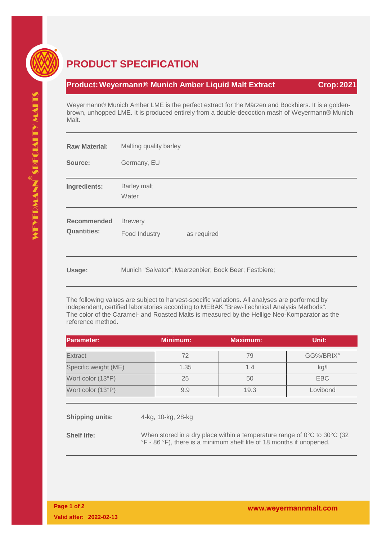

## **PRODUCT SPECIFICATION**

## **Product:Weyermann® Munich Amber Liquid Malt Extract Crop:2021**

Weyermann® Munich Amber LME is the perfect extract for the Märzen and Bockbiers. It is a goldenbrown, unhopped LME. It is produced entirely from a double-decoction mash of Weyermann® Munich Malt.

| <b>Raw Material:</b>                     | Malting quality barley                                |  |  |
|------------------------------------------|-------------------------------------------------------|--|--|
| Source:                                  | Germany, EU                                           |  |  |
| Ingredients:                             | Barley malt<br>Water                                  |  |  |
| <b>Recommended</b><br><b>Quantities:</b> | <b>Brewery</b><br>Food Industry<br>as required        |  |  |
| Usage:                                   | Munich "Salvator"; Maerzenbier; Bock Beer; Festbiere; |  |  |

The following values are subject to harvest-specific variations. All analyses are performed by independent, certified laboratories according to MEBAK "Brew-Technical Analysis Methods". The color of the Caramel- and Roasted Malts is measured by the Hellige Neo-Komparator as the reference method.

| <b>Parameter:</b>    | <b>Minimum:</b> | <b>Maximum:</b> | Unit:     |
|----------------------|-----------------|-----------------|-----------|
| <b>Extract</b>       | 72              | 79              | GG%/BRIX° |
| Specific weight (ME) | 1.35            | 1.4             | kg/l      |
| Wort color (13°P)    | 25              | 50              | EBC       |
| Wort color (13°P)    | 9.9             | 19.3            | Lovibond  |
|                      |                 |                 |           |

**Shipping units:** 4-kg, 10-kg, 28-kg

**Shelf life:** When stored in a dry place within a temperature range of 0°C to 30°C (32 °F - 86 °F), there is a minimum shelf life of 18 months if unopened.